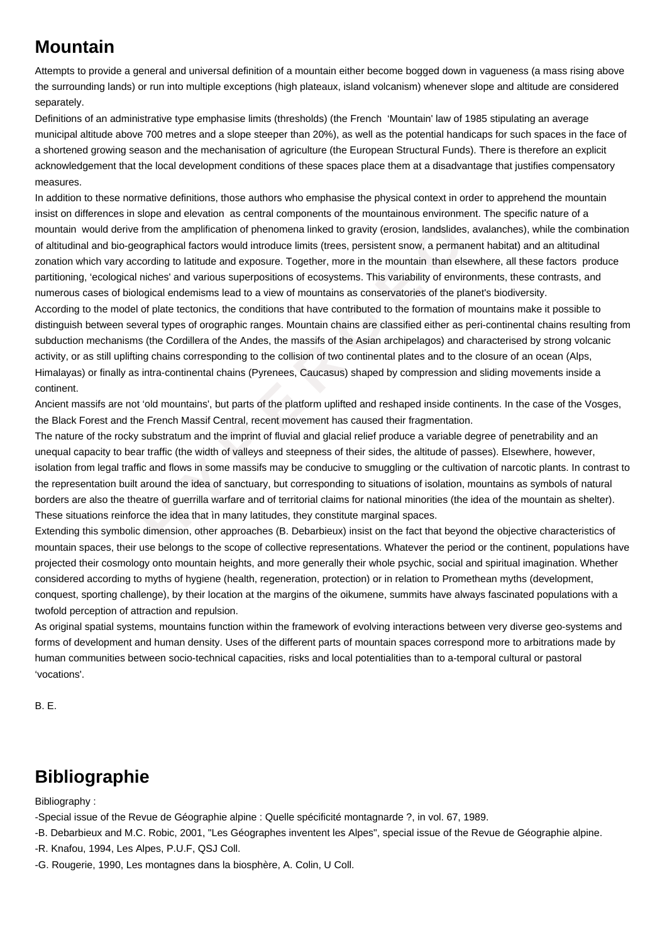## **Mountain**

Attempts to provide a general and universal definition of a mountain either become bogged down in vagueness (a mass rising above the surrounding lands) or run into multiple exceptions (high plateaux, island volcanism) whenever slope and altitude are considered separately.

Definitions of an administrative type emphasise limits (thresholds) (the French 'Mountain' law of 1985 stipulating an average municipal altitude above 700 metres and a slope steeper than 20%), as well as the potential handicaps for such spaces in the face of a shortened growing season and the mechanisation of agriculture (the European Structural Funds). There is therefore an explicit acknowledgement that the local development conditions of these spaces place them at a disadvantage that justifies compensatory measures.

derive from the amplification of phenomena linked to gravity (erosion, landslides, av<br>bio-geographical factors would introduce limits (trees, persistent snow, a permanen<br>ayr according to lattitude and exposus T cogether, m In addition to these normative definitions, those authors who emphasise the physical context in order to apprehend the mountain insist on differences in slope and elevation as central components of the mountainous environment. The specific nature of a mountain would derive from the amplification of phenomena linked to gravity (erosion, landslides, avalanches), while the combination of altitudinal and bio-geographical factors would introduce limits (trees, persistent snow, a permanent habitat) and an altitudinal zonation which vary according to latitude and exposure. Together, more in the mountain than elsewhere, all these factors produce partitioning, 'ecological niches' and various superpositions of ecosystems. This variability of environments, these contrasts, and numerous cases of biological endemisms lead to a view of mountains as conservatories of the planet's biodiversity. According to the model of plate tectonics, the conditions that have contributed to the formation of mountains make it possible to distinguish between several types of orographic ranges. Mountain chains are classified either as peri-continental chains resulting from subduction mechanisms (the Cordillera of the Andes, the massifs of the Asian archipelagos) and characterised by strong volcanic activity, or as still uplifting chains corresponding to the collision of two continental plates and to the closure of an ocean (Alps, Himalayas) or finally as intra-continental chains (Pyrenees, Caucasus) shaped by compression and sliding movements inside a continent.

Ancient massifs are not 'old mountains', but parts of the platform uplifted and reshaped inside continents. In the case of the Vosges, the Black Forest and the French Massif Central, recent movement has caused their fragmentation.

The nature of the rocky substratum and the imprint of fluvial and glacial relief produce a variable degree of penetrability and an unequal capacity to bear traffic (the width of valleys and steepness of their sides, the altitude of passes). Elsewhere, however, isolation from legal traffic and flows in some massifs may be conducive to smuggling or the cultivation of narcotic plants. In contrast to the representation built around the idea of sanctuary, but corresponding to situations of isolation, mountains as symbols of natural borders are also the theatre of guerrilla warfare and of territorial claims for national minorities (the idea of the mountain as shelter). These situations reinforce the idea that ìn many latitudes, they constitute marginal spaces.

Extending this symbolic dimension, other approaches (B. Debarbieux) insist on the fact that beyond the objective characteristics of mountain spaces, their use belongs to the scope of collective representations. Whatever the period or the continent, populations have projected their cosmology onto mountain heights, and more generally their whole psychic, social and spiritual imagination. Whether considered according to myths of hygiene (health, regeneration, protection) or in relation to Promethean myths (development, conquest, sporting challenge), by their location at the margins of the oikumene, summits have always fascinated populations with a twofold perception of attraction and repulsion.

As original spatial systems, mountains function within the framework of evolving interactions between very diverse geo-systems and forms of development and human density. Uses of the different parts of mountain spaces correspond more to arbitrations made by human communities between socio-technical capacities, risks and local potentialities than to a-temporal cultural or pastoral 'vocations'.

B. E.

## **Bibliographie**

Bibliography :

-Special issue of the Revue de Géographie alpine : Quelle spécificité montagnarde ?, in vol. 67, 1989.

-B. Debarbieux and M.C. Robic, 2001, "Les Géographes inventent les Alpes", special issue of the Revue de Géographie alpine.

-R. Knafou, 1994, Les Alpes, P.U.F, QSJ Coll.

-G. Rougerie, 1990, Les montagnes dans la biosphère, A. Colin, U Coll.